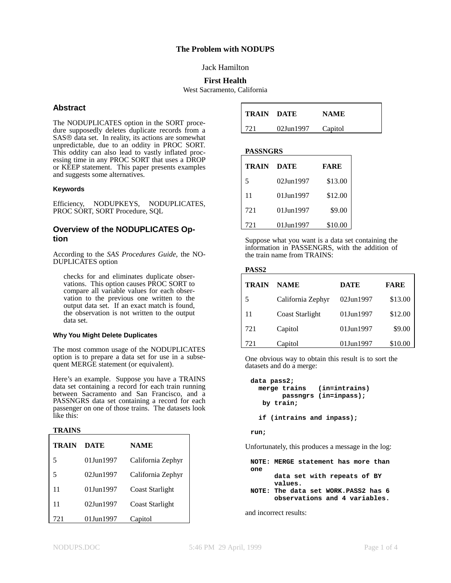### **The Problem with NODUPS**

### Jack Hamilton

### **First Health**

West Sacramento, California

### **Abstract**

The NODUPLICATES option in the SORT procedure supposedly deletes duplicate records from a SAS<sup>®</sup> data set. In reality, its actions are somewhat unpredictable, due to an oddity in PROC SORT. This oddity can also lead to vastly inflated processing time in any PROC SORT that uses a DROP or KEEP statement. This paper presents examples and suggests some alternatives.

### **Keywords**

Efficiency, NODUPKEYS, NODUPLICATES, PROC SORT, SORT Procedure, SQL

### **Overview of the NODUPLICATES Option**

According to the *SAS Procedures Guide*, the NO-DUPLICATES option

checks for and eliminates duplicate observations. This option causes PROC SORT to compare all variable values for each observation to the previous one written to the output data set. If an exact match is found, the observation is not written to the output data set.

### **Why You Might Delete Duplicates**

The most common usage of the NODUPLICATES option is to prepare a data set for use in a subsequent MERGE statement (or equivalent).

Here's an example. Suppose you have a TRAINS data set containing a record for each train running between Sacramento and San Francisco, and a PASSNGRS data set containing a record for each passenger on one of those trains. The datasets look like this:

#### **TRAINS**

| TRAIN | DATE       | <b>NAME</b>            |
|-------|------------|------------------------|
| 5     | 01.Jun1997 | California Zephyr      |
| 5     | 02Jun1997  | California Zephyr      |
| 11    | 01.Jun1997 | Coast Starlight        |
| 11    | 02.Jun1997 | <b>Coast Starlight</b> |
| 721   | 01.Jun1997 | Capitol                |

| <b>TRAIN DATE</b> |           | <b>NAME</b> |
|-------------------|-----------|-------------|
| 721               | 02Jun1997 | Capitol     |

**PASSNGRS**

| TRAIN | <b>DATE</b> | <b>FARE</b> |
|-------|-------------|-------------|
| 5     | 02.Jun1997  | \$13.00     |
| 11    | 01Jun1997   | \$12.00     |
| 721   | 01Jun1997   | \$9.00      |
| 721   | 01Jun1997   | \$10.00     |

Suppose what you want is a data set containing the information in PASSENGRS, with the addition of the train name from TRAINS:

#### **PASS2**

| <b>TRAIN</b> | <b>NAME</b>            | <b>DATE</b> | <b>FARE</b> |
|--------------|------------------------|-------------|-------------|
| 5            | California Zephyr      | 02Jun1997   | \$13.00     |
| 11           | <b>Coast Starlight</b> | 01Jun1997   | \$12.00     |
| 721          | Capitol                | 01Jun1997   | \$9.00      |
| 721          | Capitol                | 01Jun1997   | \$10.00     |

One obvious way to obtain this result is to sort the datasets and do a merge:

```
data pass2;
  merge trains (in=intrains)
       passngrs (in=inpass);
  by train;
  if (intrains and inpass);
```
**run;**

Unfortunately, this produces a message in the log:

**NOTE: MERGE statement has more than one data set with repeats of BY values. NOTE: The data set WORK.PASS2 has 6 observations and 4 variables.**

and incorrect results: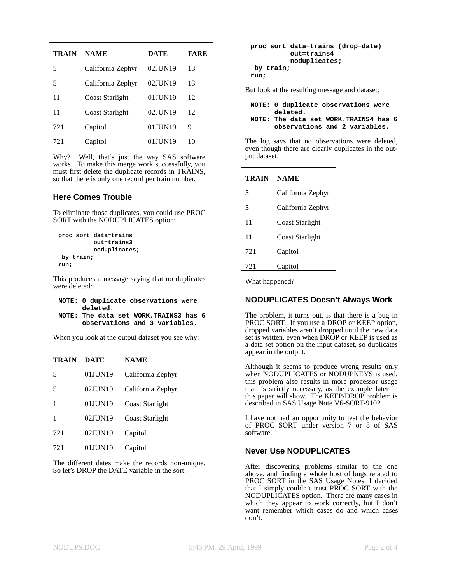| <b>TRAIN</b> | <b>NAME</b>            | DATE    | <b>FARE</b> |
|--------------|------------------------|---------|-------------|
| 5            | California Zephyr      | 02JUN19 | 13          |
| 5            | California Zephyr      | 02JUN19 | 13          |
| 11           | Coast Starlight        | 01JUN19 | 12          |
| 11           | <b>Coast Starlight</b> | 02JUN19 | 12          |
| 721          | Capitol                | 01JUN19 | 9           |
| 721          | Capitol                | 01JUN19 | 10          |

Why? Well, that's just the way SAS software works. To make this merge work successfully, you must first delete the duplicate records in TRAINS, so that there is only one record per train number.

### **Here Comes Trouble**

To eliminate those duplicates, you could use PROC SORT with the NODUPLICATES option:

```
proc sort data=trains
          out=trains3
          noduplicates;
by train;
run;
```
This produces a message saying that no duplicates were deleted:

```
NOTE: 0 duplicate observations were
      deleted.
NOTE: The data set WORK.TRAINS3 has 6
```
**observations and 3 variables.**

When you look at the output dataset you see why:

| <b>TRAIN</b> | <b>DATE</b> | <b>NAME</b>            |
|--------------|-------------|------------------------|
| 5            | 01JUN19     | California Zephyr      |
| 5            | 02JUN19     | California Zephyr      |
|              | 01JUN19     | Coast Starlight        |
| 1            | 02JUN19     | <b>Coast Starlight</b> |
| 721          | 02JUN19     | Capitol                |
| 721          | 01JUN19     | Capitol                |

The different dates make the records non-unique. So let's DROP the DATE variable in the sort:

```
proc sort data=trains (drop=date)
          out=trains4
          noduplicates;
 by train;
run;
```
But look at the resulting message and dataset:

| NOTE: 0 duplicate observations were | deleted. |                                                                         |  |
|-------------------------------------|----------|-------------------------------------------------------------------------|--|
|                                     |          | NOTE: The data set WORK. TRAINS4 has 6<br>observations and 2 variables. |  |

The log says that no observations were deleted, even though there are clearly duplicates in the output dataset:

| TRAIN | <b>NAME</b>            |  |
|-------|------------------------|--|
| 5     | California Zephyr      |  |
| 5     | California Zephyr      |  |
| 11    | Coast Starlight        |  |
| 11    | <b>Coast Starlight</b> |  |
| 721   | Capitol                |  |
| 721   | Capitol                |  |

What happened?

# **NODUPLICATES Doesn't Always Work**

The problem, it turns out, is that there is a bug in PROC SORT. If you use a DROP or KEEP option, dropped variables aren't dropped until the new data set is written, even when DROP or KEEP is used as a data set option on the input dataset, so duplicates appear in the output.

Although it seems to produce wrong results only when NODUPLICATES or NODUPKEYS is used, this problem also results in more processor usage than is strictly necessary, as the example later in this paper will show. The KEEP/DROP problem is described in SAS Usage Note V6-SORT-9102.

I have not had an opportunity to test the behavior of PROC SORT under version 7 or 8 of SAS software.

# **Never Use NODUPLICATES**

After discovering problems similar to the one above, and finding a whole host of bugs related to PROC SORT in the SAS Usage Notes, I decided that I simply couldn't trust PROC SORT with the NODUPLICATES option. There are many cases in which they appear to work correctly, but I don't want remember which cases do and which cases don't.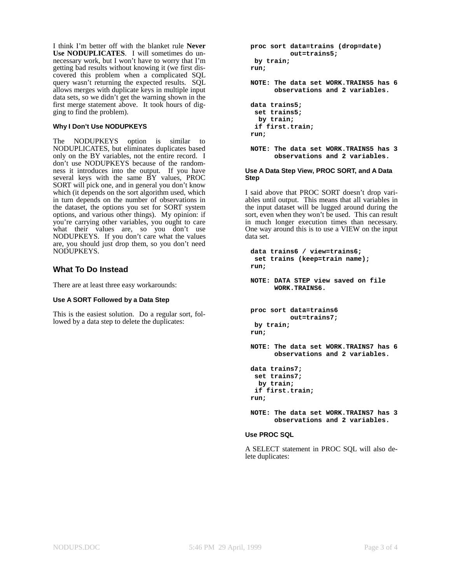I think I'm better off with the blanket rule **Never Use NODUPLICATES**. I will sometimes do unnecessary work, but I won't have to worry that I'm getting bad results without knowing it (we first discovered this problem when a complicated SQL query wasn't returning the expected results. SQL allows merges with duplicate keys in multiple input data sets, so we didn't get the warning shown in the first merge statement above. It took hours of digging to find the problem).

### **Why I Don't Use NODUPKEYS**

The NODUPKEYS option is similar to NODUPLICATES, but eliminates duplicates based only on the BY variables, not the entire record. I don't use NODUPKEYS because of the randomness it introduces into the output. If you have several keys with the same BY values, PROC SORT will pick one, and in general you don't know which (it depends on the sort algorithm used, which in turn depends on the number of observations in the dataset, the options you set for SORT system options, and various other things). My opinion: if you're carrying other variables, you ought to care what their values are, so you don't use NODUPKEYS. If you don't care what the values are, you should just drop them, so you don't need NODUPKEYS.

### **What To Do Instead**

There are at least three easy workarounds:

#### **Use A SORT Followed by a Data Step**

This is the easiest solution. Do a regular sort, followed by a data step to delete the duplicates:

```
proc sort data=trains (drop=date)
         out=trains5;
by train;
run;
NOTE: The data set WORK.TRAINS5 has 6
      observations and 2 variables.
data trains5;
 set trains5;
 by train;
 if first.train;
run;
NOTE: The data set WORK.TRAINS5 has 3
```
# **Use A Data Step View, PROC SORT, and A Data Step**

**observations and 2 variables.**

I said above that PROC SORT doesn't drop variables until output. This means that all variables in the input dataset will be lugged around during the sort, even when they won't be used. This can result in much longer execution times than necessary. One way around this is to use a VIEW on the input data set.

```
data trains6 / view=trains6;
 set trains (keep=train name);
run;
NOTE: DATA STEP view saved on file
      WORK.TRAINS6.
proc sort data=trains6
         out=trains7;
by train;
run;
NOTE: The data set WORK.TRAINS7 has 6
      observations and 2 variables.
data trains7;
 set trains7;
 by train;
 if first.train;
run;
NOTE: The data set WORK.TRAINS7 has 3
      observations and 2 variables.
```
### **Use PROC SQL**

A SELECT statement in PROC SQL will also delete duplicates: